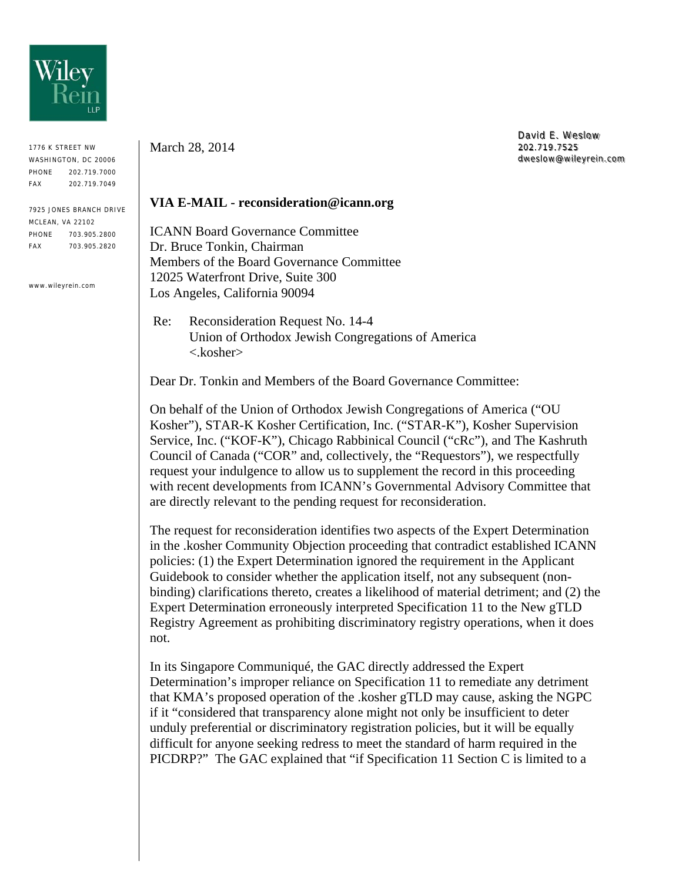

1776 K STREET NW WASHINGTON, DC 20006 PHONE 202.719.7000 FAX 202.719.7049

7925 JONES BRANCH DRIVE MCLEAN, VA 22102 PHONE 703.905.2800 FAX 703.905.2820

www.wileyrein.com

March 28, 2014

David E. Weslow 202.719.7525 dweslow@wileyrein.com

## **VIA E-MAIL - reconsideration@icann.org**

ICANN Board Governance Committee Dr. Bruce Tonkin, Chairman Members of the Board Governance Committee 12025 Waterfront Drive, Suite 300 Los Angeles, California 90094

 Re: Reconsideration Request No. 14-4 Union of Orthodox Jewish Congregations of America <.kosher>

Dear Dr. Tonkin and Members of the Board Governance Committee:

On behalf of the Union of Orthodox Jewish Congregations of America ("OU Kosher"), STAR-K Kosher Certification, Inc. ("STAR-K"), Kosher Supervision Service, Inc. ("KOF-K"), Chicago Rabbinical Council ("cRc"), and The Kashruth Council of Canada ("COR" and, collectively, the "Requestors"), we respectfully request your indulgence to allow us to supplement the record in this proceeding with recent developments from ICANN's Governmental Advisory Committee that are directly relevant to the pending request for reconsideration.

The request for reconsideration identifies two aspects of the Expert Determination in the .kosher Community Objection proceeding that contradict established ICANN policies: (1) the Expert Determination ignored the requirement in the Applicant Guidebook to consider whether the application itself, not any subsequent (nonbinding) clarifications thereto, creates a likelihood of material detriment; and (2) the Expert Determination erroneously interpreted Specification 11 to the New gTLD Registry Agreement as prohibiting discriminatory registry operations, when it does not.

In its Singapore Communiqué, the GAC directly addressed the Expert Determination's improper reliance on Specification 11 to remediate any detriment that KMA's proposed operation of the .kosher gTLD may cause, asking the NGPC if it "considered that transparency alone might not only be insufficient to deter unduly preferential or discriminatory registration policies, but it will be equally difficult for anyone seeking redress to meet the standard of harm required in the PICDRP?" The GAC explained that "if Specification 11 Section C is limited to a